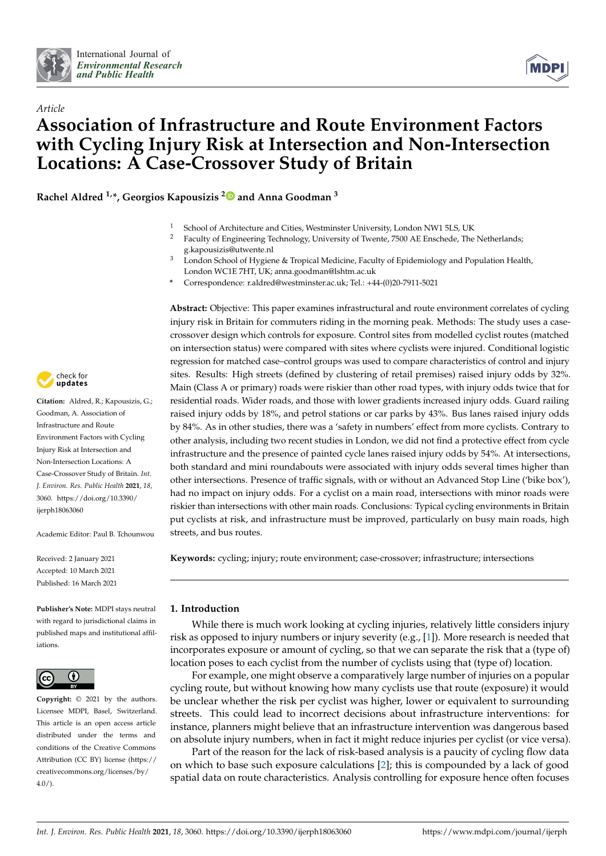

*Article*



# **Association of Infrastructure and Route Environment Factors with Cycling Injury Risk at Intersection and Non-Intersection Locations: A Case-Crossover Study of Britain**

**Rachel Aldred 1,\*, Georgios Kapousizis [2](https://orcid.org/0000-0003-3276-7807) and Anna Goodman <sup>3</sup>**

- <sup>1</sup> School of Architecture and Cities, Westminster University, London NW1 5LS, UK
- <sup>2</sup> Faculty of Engineering Technology, University of Twente, 7500 AE Enschede, The Netherlands; g.kapousizis@utwente.nl
- <sup>3</sup> London School of Hygiene & Tropical Medicine, Faculty of Epidemiology and Population Health, London WC1E 7HT, UK; anna.goodman@lshtm.ac.uk
- **\*** Correspondence: r.aldred@westminster.ac.uk; Tel.: +44-(0)20-7911-5021

**Abstract:** Objective: This paper examines infrastructural and route environment correlates of cycling injury risk in Britain for commuters riding in the morning peak. Methods: The study uses a casecrossover design which controls for exposure. Control sites from modelled cyclist routes (matched on intersection status) were compared with sites where cyclists were injured. Conditional logistic regression for matched case–control groups was used to compare characteristics of control and injury sites. Results: High streets (defined by clustering of retail premises) raised injury odds by 32%. Main (Class A or primary) roads were riskier than other road types, with injury odds twice that for residential roads. Wider roads, and those with lower gradients increased injury odds. Guard railing raised injury odds by 18%, and petrol stations or car parks by 43%. Bus lanes raised injury odds by 84%. As in other studies, there was a 'safety in numbers' effect from more cyclists. Contrary to other analysis, including two recent studies in London, we did not find a protective effect from cycle infrastructure and the presence of painted cycle lanes raised injury odds by 54%. At intersections, both standard and mini roundabouts were associated with injury odds several times higher than other intersections. Presence of traffic signals, with or without an Advanced Stop Line ('bike box'), had no impact on injury odds. For a cyclist on a main road, intersections with minor roads were riskier than intersections with other main roads. Conclusions: Typical cycling environments in Britain put cyclists at risk, and infrastructure must be improved, particularly on busy main roads, high streets, and bus routes.

**Keywords:** cycling; injury; route environment; case-crossover; infrastructure; intersections

# **1. Introduction**

While there is much work looking at cycling injuries, relatively little considers injury risk as opposed to injury numbers or injury severity (e.g., [\[1\]](#page-14-0)). More research is needed that incorporates exposure or amount of cycling, so that we can separate the risk that a (type of) location poses to each cyclist from the number of cyclists using that (type of) location.

For example, one might observe a comparatively large number of injuries on a popular cycling route, but without knowing how many cyclists use that route (exposure) it would be unclear whether the risk per cyclist was higher, lower or equivalent to surrounding streets. This could lead to incorrect decisions about infrastructure interventions: for instance, planners might believe that an infrastructure intervention was dangerous based on absolute injury numbers, when in fact it might reduce injuries per cyclist (or vice versa).

Part of the reason for the lack of risk-based analysis is a paucity of cycling flow data on which to base such exposure calculations [\[2\]](#page-14-1); this is compounded by a lack of good spatial data on route characteristics. Analysis controlling for exposure hence often focuses



**Citation:** Aldred, R.; Kapousizis, G.; Goodman, A. Association of Infrastructure and Route Environment Factors with Cycling Injury Risk at Intersection and Non-Intersection Locations: A Case-Crossover Study of Britain. *Int. J. Environ. Res. Public Health* **2021**, *18*, 3060. [https://doi.org/10.3390/](https://doi.org/10.3390/ijerph18063060) [ijerph18063060](https://doi.org/10.3390/ijerph18063060)

Academic Editor: Paul B. Tchounwou

Received: 2 January 2021 Accepted: 10 March 2021 Published: 16 March 2021

**Publisher's Note:** MDPI stays neutral with regard to jurisdictional claims in published maps and institutional affiliations.



**Copyright:** © 2021 by the authors. Licensee MDPI, Basel, Switzerland. This article is an open access article distributed under the terms and conditions of the Creative Commons Attribution (CC BY) license (https:/[/](https://creativecommons.org/licenses/by/4.0/) [creativecommons.org/licenses/by/](https://creativecommons.org/licenses/by/4.0/)  $4.0/$ ).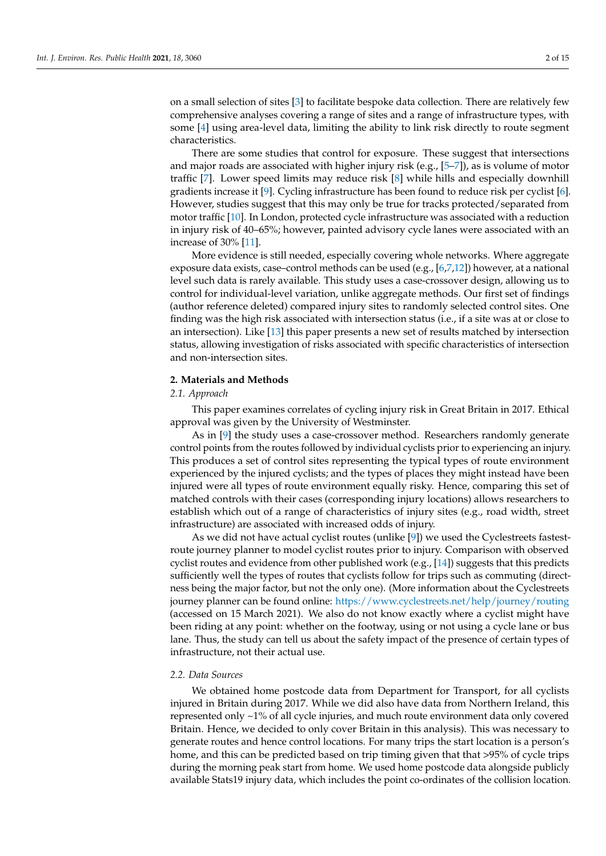on a small selection of sites [\[3\]](#page-14-2) to facilitate bespoke data collection. There are relatively few comprehensive analyses covering a range of sites and a range of infrastructure types, with some [\[4\]](#page-14-3) using area-level data, limiting the ability to link risk directly to route segment characteristics.

There are some studies that control for exposure. These suggest that intersections and major roads are associated with higher injury risk (e.g.,  $[5-7]$  $[5-7]$ ), as is volume of motor traffic [\[7\]](#page-14-5). Lower speed limits may reduce risk [\[8\]](#page-14-6) while hills and especially downhill gradients increase it [\[9\]](#page-14-7). Cycling infrastructure has been found to reduce risk per cyclist [\[6\]](#page-14-8). However, studies suggest that this may only be true for tracks protected/separated from motor traffic [\[10\]](#page-14-9). In London, protected cycle infrastructure was associated with a reduction in injury risk of 40–65%; however, painted advisory cycle lanes were associated with an increase of 30% [\[11\]](#page-14-10).

More evidence is still needed, especially covering whole networks. Where aggregate exposure data exists, case–control methods can be used (e.g.,  $[6,7,12]$  $[6,7,12]$  $[6,7,12]$ ) however, at a national level such data is rarely available. This study uses a case-crossover design, allowing us to control for individual-level variation, unlike aggregate methods. Our first set of findings (author reference deleted) compared injury sites to randomly selected control sites. One finding was the high risk associated with intersection status (i.e., if a site was at or close to an intersection). Like [\[13\]](#page-14-12) this paper presents a new set of results matched by intersection status, allowing investigation of risks associated with specific characteristics of intersection and non-intersection sites.

# **2. Materials and Methods**

# *2.1. Approach*

This paper examines correlates of cycling injury risk in Great Britain in 2017. Ethical approval was given by the University of Westminster.

As in [\[9\]](#page-14-7) the study uses a case-crossover method. Researchers randomly generate control points from the routes followed by individual cyclists prior to experiencing an injury. This produces a set of control sites representing the typical types of route environment experienced by the injured cyclists; and the types of places they might instead have been injured were all types of route environment equally risky. Hence, comparing this set of matched controls with their cases (corresponding injury locations) allows researchers to establish which out of a range of characteristics of injury sites (e.g., road width, street infrastructure) are associated with increased odds of injury.

As we did not have actual cyclist routes (unlike [\[9\]](#page-14-7)) we used the Cyclestreets fastestroute journey planner to model cyclist routes prior to injury. Comparison with observed cyclist routes and evidence from other published work (e.g., [\[14\]](#page-14-13)) suggests that this predicts sufficiently well the types of routes that cyclists follow for trips such as commuting (directness being the major factor, but not the only one). (More information about the Cyclestreets journey planner can be found online: <https://www.cyclestreets.net/help/journey/routing> (accessed on 15 March 2021). We also do not know exactly where a cyclist might have been riding at any point: whether on the footway, using or not using a cycle lane or bus lane. Thus, the study can tell us about the safety impact of the presence of certain types of infrastructure, not their actual use.

# *2.2. Data Sources*

We obtained home postcode data from Department for Transport, for all cyclists injured in Britain during 2017. While we did also have data from Northern Ireland, this represented only ~1% of all cycle injuries, and much route environment data only covered Britain. Hence, we decided to only cover Britain in this analysis). This was necessary to generate routes and hence control locations. For many trips the start location is a person's home, and this can be predicted based on trip timing given that that >95% of cycle trips during the morning peak start from home. We used home postcode data alongside publicly available Stats19 injury data, which includes the point co-ordinates of the collision location.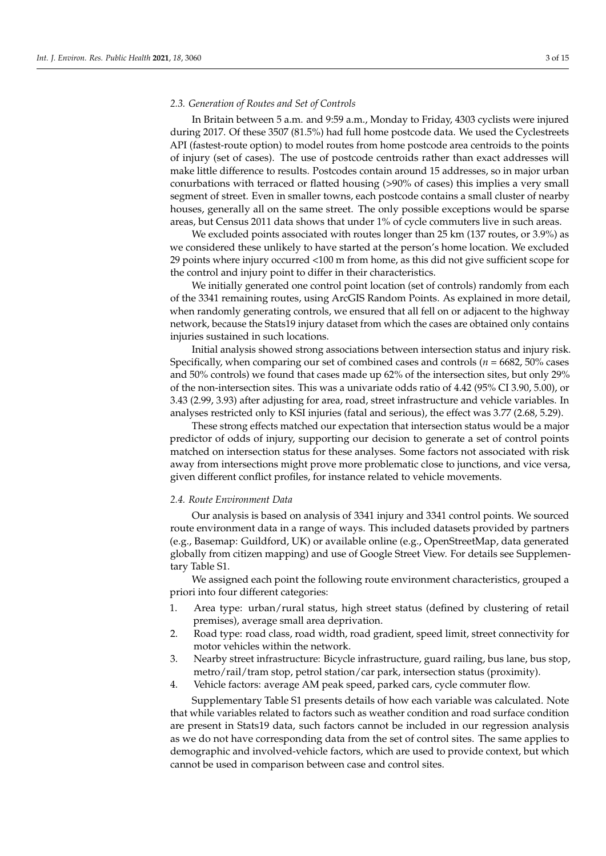### *2.3. Generation of Routes and Set of Controls*

In Britain between 5 a.m. and 9:59 a.m., Monday to Friday, 4303 cyclists were injured during 2017. Of these 3507 (81.5%) had full home postcode data. We used the Cyclestreets API (fastest-route option) to model routes from home postcode area centroids to the points of injury (set of cases). The use of postcode centroids rather than exact addresses will make little difference to results. Postcodes contain around 15 addresses, so in major urban conurbations with terraced or flatted housing (>90% of cases) this implies a very small segment of street. Even in smaller towns, each postcode contains a small cluster of nearby houses, generally all on the same street. The only possible exceptions would be sparse areas, but Census 2011 data shows that under 1% of cycle commuters live in such areas.

We excluded points associated with routes longer than 25 km (137 routes, or 3.9%) as we considered these unlikely to have started at the person's home location. We excluded 29 points where injury occurred <100 m from home, as this did not give sufficient scope for the control and injury point to differ in their characteristics.

We initially generated one control point location (set of controls) randomly from each of the 3341 remaining routes, using ArcGIS Random Points. As explained in more detail, when randomly generating controls, we ensured that all fell on or adjacent to the highway network, because the Stats19 injury dataset from which the cases are obtained only contains injuries sustained in such locations.

Initial analysis showed strong associations between intersection status and injury risk. Specifically, when comparing our set of combined cases and controls (*n* = 6682, 50% cases and 50% controls) we found that cases made up 62% of the intersection sites, but only 29% of the non-intersection sites. This was a univariate odds ratio of 4.42 (95% CI 3.90, 5.00), or 3.43 (2.99, 3.93) after adjusting for area, road, street infrastructure and vehicle variables. In analyses restricted only to KSI injuries (fatal and serious), the effect was 3.77 (2.68, 5.29).

These strong effects matched our expectation that intersection status would be a major predictor of odds of injury, supporting our decision to generate a set of control points matched on intersection status for these analyses. Some factors not associated with risk away from intersections might prove more problematic close to junctions, and vice versa, given different conflict profiles, for instance related to vehicle movements.

#### *2.4. Route Environment Data*

Our analysis is based on analysis of 3341 injury and 3341 control points. We sourced route environment data in a range of ways. This included datasets provided by partners (e.g., Basemap: Guildford, UK) or available online (e.g., OpenStreetMap, data generated globally from citizen mapping) and use of Google Street View. For details see Supplementary Table S1.

We assigned each point the following route environment characteristics, grouped a priori into four different categories:

- 1. Area type: urban/rural status, high street status (defined by clustering of retail premises), average small area deprivation.
- 2. Road type: road class, road width, road gradient, speed limit, street connectivity for motor vehicles within the network.
- 3. Nearby street infrastructure: Bicycle infrastructure, guard railing, bus lane, bus stop, metro/rail/tram stop, petrol station/car park, intersection status (proximity).
- 4. Vehicle factors: average AM peak speed, parked cars, cycle commuter flow.

Supplementary Table S1 presents details of how each variable was calculated. Note that while variables related to factors such as weather condition and road surface condition are present in Stats19 data, such factors cannot be included in our regression analysis as we do not have corresponding data from the set of control sites. The same applies to demographic and involved-vehicle factors, which are used to provide context, but which cannot be used in comparison between case and control sites.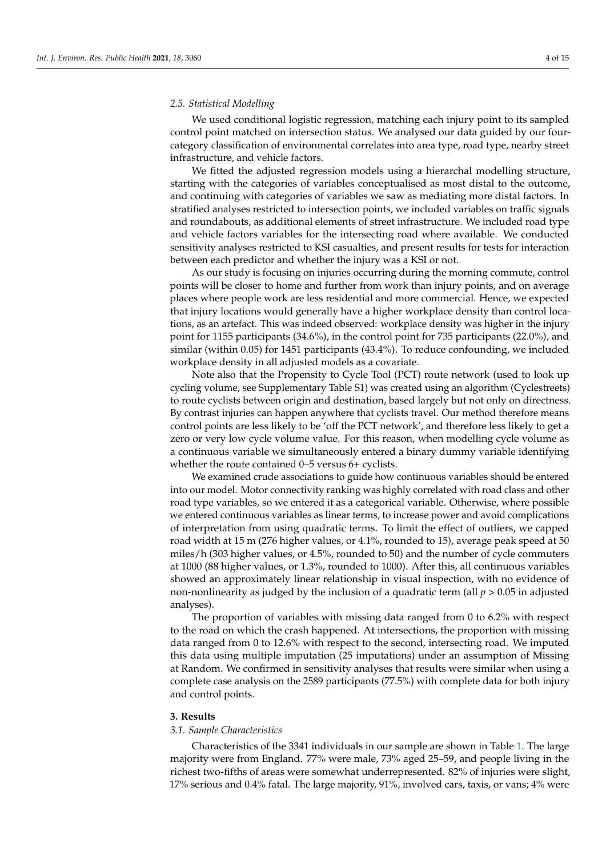We used conditional logistic regression, matching each injury point to its sampled control point matched on intersection status. We analysed our data guided by our fourcategory classification of environmental correlates into area type, road type, nearby street infrastructure, and vehicle factors.

We fitted the adjusted regression models using a hierarchal modelling structure, starting with the categories of variables conceptualised as most distal to the outcome, and continuing with categories of variables we saw as mediating more distal factors. In stratified analyses restricted to intersection points, we included variables on traffic signals and roundabouts, as additional elements of street infrastructure. We included road type and vehicle factors variables for the intersecting road where available. We conducted sensitivity analyses restricted to KSI casualties, and present results for tests for interaction between each predictor and whether the injury was a KSI or not.

As our study is focusing on injuries occurring during the morning commute, control points will be closer to home and further from work than injury points, and on average places where people work are less residential and more commercial. Hence, we expected that injury locations would generally have a higher workplace density than control locations, as an artefact. This was indeed observed: workplace density was higher in the injury point for 1155 participants (34.6%), in the control point for 735 participants (22.0%), and similar (within 0.05) for 1451 participants (43.4%). To reduce confounding, we included workplace density in all adjusted models as a covariate.

Note also that the Propensity to Cycle Tool (PCT) route network (used to look up cycling volume, see Supplementary Table S1) was created using an algorithm (Cyclestreets) to route cyclists between origin and destination, based largely but not only on directness. By contrast injuries can happen anywhere that cyclists travel. Our method therefore means control points are less likely to be 'off the PCT network', and therefore less likely to get a zero or very low cycle volume value. For this reason, when modelling cycle volume as a continuous variable we simultaneously entered a binary dummy variable identifying whether the route contained 0–5 versus 6+ cyclists.

We examined crude associations to guide how continuous variables should be entered into our model. Motor connectivity ranking was highly correlated with road class and other road type variables, so we entered it as a categorical variable. Otherwise, where possible we entered continuous variables as linear terms, to increase power and avoid complications of interpretation from using quadratic terms. To limit the effect of outliers, we capped road width at 15 m (276 higher values, or 4.1%, rounded to 15), average peak speed at 50 miles/h (303 higher values, or 4.5%, rounded to 50) and the number of cycle commuters at 1000 (88 higher values, or 1.3%, rounded to 1000). After this, all continuous variables showed an approximately linear relationship in visual inspection, with no evidence of non-nonlinearity as judged by the inclusion of a quadratic term (all *p* > 0.05 in adjusted analyses).

The proportion of variables with missing data ranged from 0 to 6.2% with respect to the road on which the crash happened. At intersections, the proportion with missing data ranged from 0 to 12.6% with respect to the second, intersecting road. We imputed this data using multiple imputation (25 imputations) under an assumption of Missing at Random. We confirmed in sensitivity analyses that results were similar when using a complete case analysis on the 2589 participants (77.5%) with complete data for both injury and control points.

## **3. Results**

# *3.1. Sample Characteristics*

Characteristics of the 3341 individuals in our sample are shown in Table [1.](#page-4-0) The large majority were from England. 77% were male, 73% aged 25–59, and people living in the richest two-fifths of areas were somewhat underrepresented. 82% of injuries were slight, 17% serious and 0.4% fatal. The large majority, 91%, involved cars, taxis, or vans; 4% were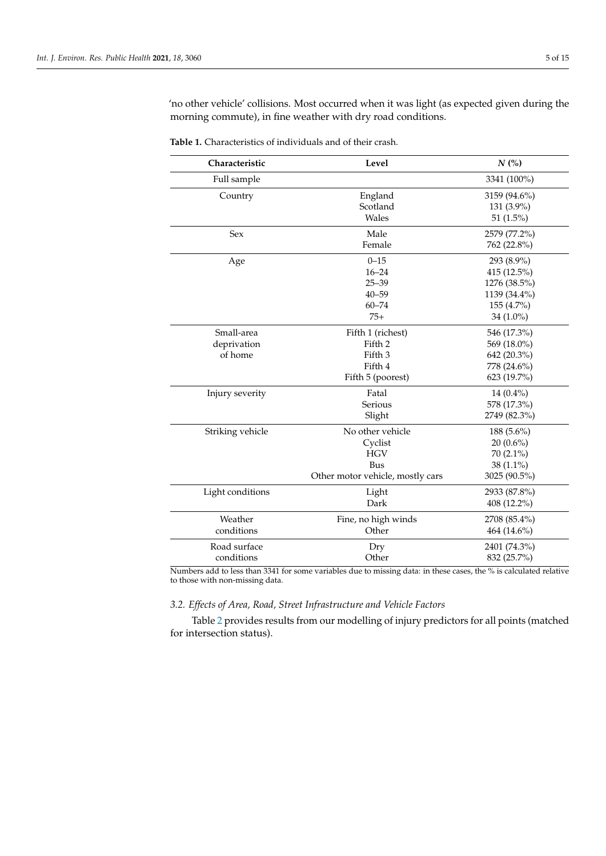'no other vehicle' collisions. Most occurred when it was light (as expected given during the morning commute), in fine weather with dry road conditions.

| Characteristic   | Level                            | N(%)         |  |  |  |
|------------------|----------------------------------|--------------|--|--|--|
| Full sample      |                                  | 3341 (100%)  |  |  |  |
| Country          | England                          | 3159 (94.6%) |  |  |  |
|                  | Scotland                         | 131 (3.9%)   |  |  |  |
|                  | Wales                            | 51 $(1.5\%)$ |  |  |  |
| Sex              | Male                             | 2579 (77.2%) |  |  |  |
|                  | Female                           | 762 (22.8%)  |  |  |  |
| Age              | $0 - 15$                         | 293 (8.9%)   |  |  |  |
|                  | $16 - 24$                        | 415 (12.5%)  |  |  |  |
|                  | $25 - 39$                        | 1276 (38.5%) |  |  |  |
|                  | $40 - 59$                        | 1139 (34.4%) |  |  |  |
|                  | $60 - 74$                        | 155 (4.7%)   |  |  |  |
|                  | $75+$                            | 34 $(1.0\%)$ |  |  |  |
| Small-area       | Fifth 1 (richest)                | 546 (17.3%)  |  |  |  |
| deprivation      | Fifth 2                          | 569 (18.0%)  |  |  |  |
| of home          | Fifth 3                          | 642 (20.3%)  |  |  |  |
|                  | Fifth 4                          | 778 (24.6%)  |  |  |  |
|                  | Fifth 5 (poorest)                | 623 (19.7%)  |  |  |  |
| Injury severity  | Fatal                            | $14(0.4\%)$  |  |  |  |
|                  | Serious                          | 578 (17.3%)  |  |  |  |
|                  | Slight                           | 2749 (82.3%) |  |  |  |
| Striking vehicle | No other vehicle                 | 188 (5.6%)   |  |  |  |
|                  | Cyclist                          | $20(0.6\%)$  |  |  |  |
|                  | <b>HGV</b>                       | $70(2.1\%)$  |  |  |  |
|                  | <b>Bus</b>                       | 38 (1.1%)    |  |  |  |
|                  | Other motor vehicle, mostly cars | 3025 (90.5%) |  |  |  |
| Light conditions | Light                            | 2933 (87.8%) |  |  |  |
|                  | Dark                             | 408 (12.2%)  |  |  |  |
| Weather          | Fine, no high winds              | 2708 (85.4%) |  |  |  |
| conditions       | Other                            | 464 (14.6%)  |  |  |  |
| Road surface     | Dry                              | 2401 (74.3%) |  |  |  |
| conditions       | Other                            | 832 (25.7%)  |  |  |  |

<span id="page-4-0"></span>**Table 1.** Characteristics of individuals and of their crash.

Numbers add to less than 3341 for some variables due to missing data: in these cases, the % is calculated relative to those with non-missing data.

# *3.2. Effects of Area, Road, Street Infrastructure and Vehicle Factors*

Table [2](#page-5-0) provides results from our modelling of injury predictors for all points (matched for intersection status).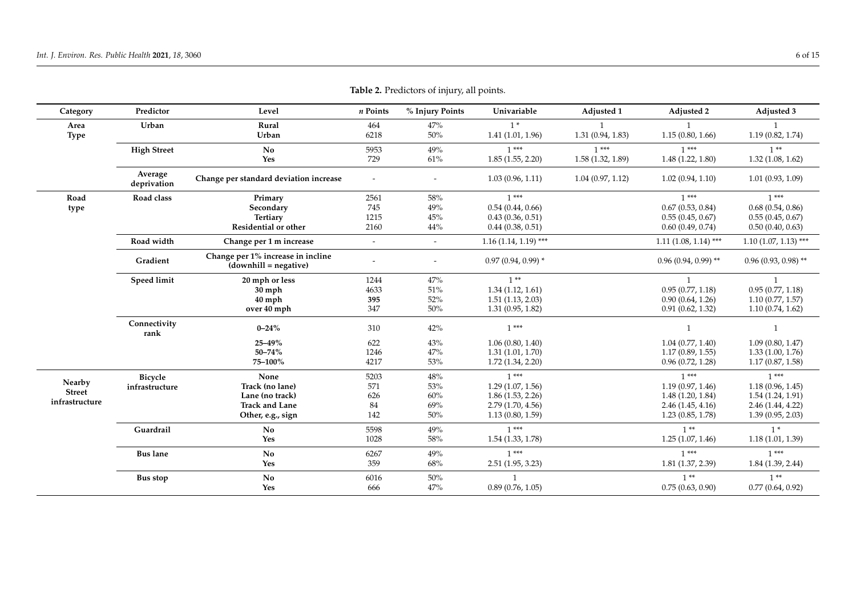<span id="page-5-0"></span>

| Category                | Predictor              | Level                                                        | n Points                 | % Injury Points           | Univariable            | Adjusted 1       | Adjusted 2             | Adjusted 3             |
|-------------------------|------------------------|--------------------------------------------------------------|--------------------------|---------------------------|------------------------|------------------|------------------------|------------------------|
| Area                    | Urban                  | Rural                                                        | 464                      | 47%                       | $1*$                   |                  | $\mathbf{1}$           | $\mathbf{1}$           |
| <b>Type</b>             |                        | Urban                                                        | 6218                     | $50\%$                    | 1.41(1.01, 1.96)       | 1.31(0.94, 1.83) | 1.15(0.80, 1.66)       | 1.19(0.82, 1.74)       |
|                         | <b>High Street</b>     | No                                                           | 5953                     | 49%                       | $1***$                 | $1***$           | $1***$                 | $1**$                  |
|                         |                        | Yes                                                          | 729                      | 61%                       | 1.85(1.55, 2.20)       | 1.58(1.32, 1.89) | 1.48(1.22, 1.80)       | 1.32(1.08, 1.62)       |
|                         | Average<br>deprivation | Change per standard deviation increase                       | $\overline{\phantom{a}}$ |                           | 1.03(0.96, 1.11)       | 1.04(0.97, 1.12) | 1.02(0.94, 1.10)       | 1.01(0.93, 1.09)       |
| Road                    | Road class             | Primary                                                      | 2561                     | 58%                       | $1***$                 |                  | $1***$                 | $1***$                 |
| type                    |                        | Secondary                                                    | 745                      | 49%                       | 0.54(0.44, 0.66)       |                  | 0.67(0.53, 0.84)       | 0.68(0.54, 0.86)       |
|                         |                        | <b>Tertiary</b>                                              | 1215                     | $45%$<br>0.43(0.36, 0.51) | 0.55(0.45, 0.67)       | 0.55(0.45, 0.67) |                        |                        |
|                         |                        | Residential or other                                         | 2160                     | 44%                       | 0.44(0.38, 0.51)       |                  | 0.60(0.49, 0.74)       | 0.50(0.40, 0.63)       |
|                         | Road width             | Change per 1 m increase                                      | $\overline{\phantom{a}}$ | $\sim$                    | $1.16(1.14, 1.19)$ *** |                  | $1.11(1.08, 1.14)$ *** | $1.10(1.07, 1.13)$ *** |
|                         | Gradient               | Change per 1% increase in incline<br>$(downhill = negative)$ |                          |                           | $0.97(0.94, 0.99)$ *   |                  | $0.96(0.94, 0.99)$ **  | $0.96(0.93, 0.98)$ **  |
|                         | Speed limit            | 20 mph or less                                               | 1244                     | 47%                       | $1**$                  |                  | 1                      | 1                      |
|                         |                        | $30$ mph                                                     | 4633                     | 51%                       | 1.34(1.12, 1.61)       |                  | 0.95(0.77, 1.18)       | 0.95(0.77, 1.18)       |
|                         |                        | $40$ mph                                                     | 395                      | 52%                       | 1.51(1.13, 2.03)       |                  | 0.90(0.64, 1.26)       | 1.10(0.77, 1.57)       |
|                         |                        | over 40 mph                                                  | 347                      | 50%                       | 1.31(0.95, 1.82)       |                  | 0.91(0.62, 1.32)       | 1.10(0.74, 1.62)       |
|                         | Connectivity<br>rank   | $0 - 24%$                                                    | 310                      | 42%                       | $1***$                 |                  | $\overline{1}$         | $\overline{1}$         |
|                         |                        | 25-49%                                                       | 622                      | 43%                       | 1.06(0.80, 1.40)       |                  | 1.04(0.77, 1.40)       | 1.09(0.80, 1.47)       |
|                         |                        | $50 - 74%$                                                   | 1246                     | 47%                       | 1.31(1.01, 1.70)       |                  | 1.17(0.89, 1.55)       | 1.33(1.00, 1.76)       |
|                         |                        | 75-100%                                                      | 4217                     | $53\%$                    | 1.72(1.34, 2.20)       |                  | 0.96(0.72, 1.28)       | 1.17(0.87, 1.58)       |
|                         | <b>Bicycle</b>         | None                                                         | 5203                     | $48\%$                    | $1***$                 |                  | $1***$                 | $1***$                 |
| Nearby<br><b>Street</b> | infrastructure         | Track (no lane)                                              | 571                      | 53%                       | 1.29(1.07, 1.56)       |                  | 1.19(0.97, 1.46)       | 1.18(0.96, 1.45)       |
| infrastructure          |                        | Lane (no track)                                              | 626                      | 60%                       | 1.86(1.53, 2.26)       |                  | 1.48(1.20, 1.84)       | 1.54(1.24, 1.91)       |
|                         |                        | <b>Track and Lane</b>                                        | 84                       | 69%                       | 2.79 (1.70, 4.56)      |                  | 2.46(1.45, 4.16)       | 2.46(1.44, 4.22)       |
|                         |                        | Other, e.g., sign                                            | 142                      | 50%                       | 1.13(0.80, 1.59)       |                  | 1.23(0.85, 1.78)       | 1.39(0.95, 2.03)       |
|                         | Guardrail              | No                                                           | 5598                     | 49%                       | $1***$                 |                  | $1**$                  | $1*$                   |
|                         |                        | Yes                                                          | 1028                     | 58%                       | 1.54(1.33, 1.78)       |                  | 1.25(1.07, 1.46)       | 1.18(1.01, 1.39)       |
|                         | <b>Bus lane</b>        | No                                                           | 6267                     | 49%                       | $1***$                 |                  | $1***$                 | $1***$                 |
|                         |                        | Yes                                                          | 359                      | 68%                       | 2.51(1.95, 3.23)       |                  | 1.81(1.37, 2.39)       | 1.84(1.39, 2.44)       |
|                         | <b>Bus stop</b>        | No                                                           | 6016                     | 50%                       |                        |                  | $1**$                  | $1**$                  |
|                         |                        | Yes                                                          | 666                      | 47%                       | 0.89(0.76, 1.05)       |                  | 0.75(0.63, 0.90)       | 0.77(0.64, 0.92)       |

**Table 2.** Predictors of injury, all points.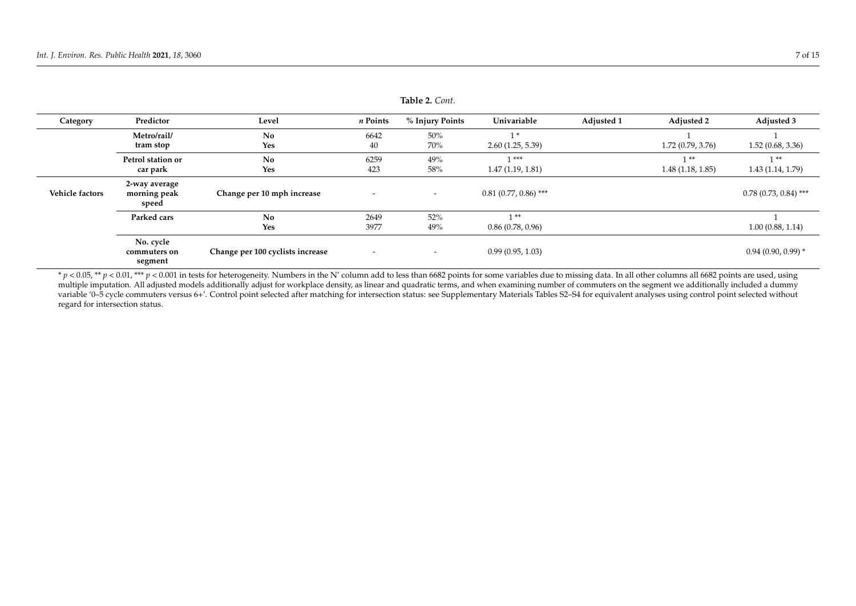| Category               | Predictor                              | Level                            | n Points                 | % Injury Points          | Univariable             | Adjusted 1 | <b>Adjusted 2</b> | Adjusted 3              |
|------------------------|----------------------------------------|----------------------------------|--------------------------|--------------------------|-------------------------|------------|-------------------|-------------------------|
|                        | Metro/rail/                            | No                               | 6642                     | 50%                      | 1 *                     |            |                   |                         |
|                        | tram stop                              | Yes                              | 40                       | 70%                      | 2.60(1.25, 5.39)        |            | 1.72(0.79, 3.76)  | 1.52(0.68, 3.36)        |
|                        | Petrol station or                      | No                               | 6259                     | 49%                      | ***                     |            | **                | $1 * *$                 |
|                        | car park                               | Yes                              | 423                      | 58%                      | 1.47(1.19, 1.81)        |            | 1.48(1.18, 1.85)  | 1.43(1.14, 1.79)        |
| <b>Vehicle factors</b> | 2-way average<br>morning peak<br>speed | Change per 10 mph increase       | $\overline{\phantom{a}}$ | $\overline{\phantom{a}}$ | $0.81$ (0.77, 0.86) *** |            |                   | $0.78$ (0.73, 0.84) *** |
|                        | Parked cars                            | N <sub>0</sub>                   | 2649                     | $52\%$                   | **                      |            |                   |                         |
|                        |                                        | Yes                              | 3977                     | 49%                      | 0.86(0.78, 0.96)        |            |                   | 1.00(0.88, 1.14)        |
|                        | No. cycle<br>commuters on<br>segment   | Change per 100 cyclists increase | $\overline{\phantom{0}}$ | $\overline{\phantom{a}}$ | 0.99(0.95, 1.03)        |            |                   | $0.94(0.90, 0.99)$ *    |

**Table 2.** *Cont.*

 $* p < 0.05$ , \*\*  $p < 0.01$ , \*\*\*  $p < 0.001$  in tests for heterogeneity. Numbers in the N' column add to less than 6682 points for some variables due to missing data. In all other columns all 6682 points are used, using multiple imputation. All adjusted models additionally adjust for workplace density, as linear and quadratic terms, and when examining number of commuters on the segment we additionally included a dummy variable '0-5 cycle commuters versus 6+'. Control point selected after matching for intersection status: see Supplementary Materials Tables S2-S4 for equivalent analyses using control point selected without regard for intersection status.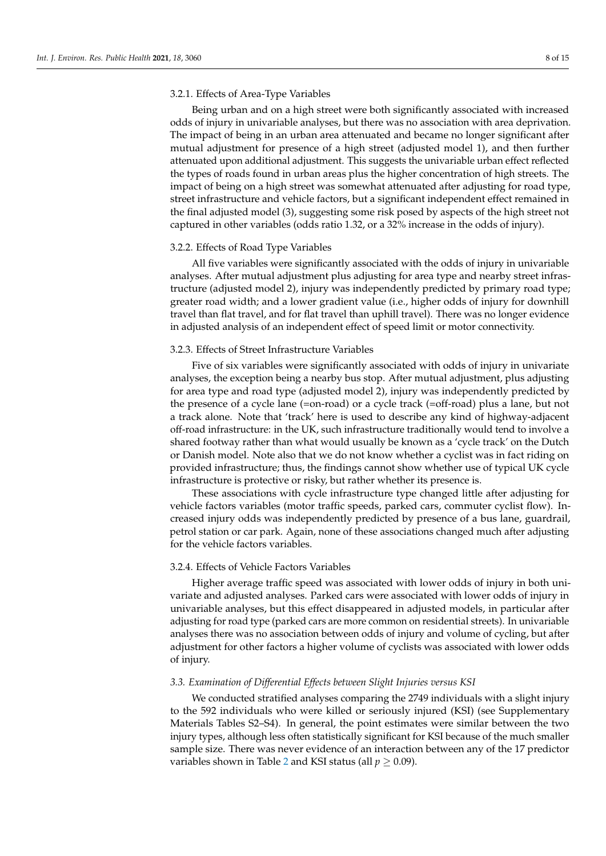# 3.2.1. Effects of Area-Type Variables

Being urban and on a high street were both significantly associated with increased odds of injury in univariable analyses, but there was no association with area deprivation. The impact of being in an urban area attenuated and became no longer significant after mutual adjustment for presence of a high street (adjusted model 1), and then further attenuated upon additional adjustment. This suggests the univariable urban effect reflected the types of roads found in urban areas plus the higher concentration of high streets. The impact of being on a high street was somewhat attenuated after adjusting for road type, street infrastructure and vehicle factors, but a significant independent effect remained in the final adjusted model (3), suggesting some risk posed by aspects of the high street not captured in other variables (odds ratio 1.32, or a 32% increase in the odds of injury).

#### 3.2.2. Effects of Road Type Variables

All five variables were significantly associated with the odds of injury in univariable analyses. After mutual adjustment plus adjusting for area type and nearby street infrastructure (adjusted model 2), injury was independently predicted by primary road type; greater road width; and a lower gradient value (i.e., higher odds of injury for downhill travel than flat travel, and for flat travel than uphill travel). There was no longer evidence in adjusted analysis of an independent effect of speed limit or motor connectivity.

#### 3.2.3. Effects of Street Infrastructure Variables

Five of six variables were significantly associated with odds of injury in univariate analyses, the exception being a nearby bus stop. After mutual adjustment, plus adjusting for area type and road type (adjusted model 2), injury was independently predicted by the presence of a cycle lane (=on-road) or a cycle track (=off-road) plus a lane, but not a track alone. Note that 'track' here is used to describe any kind of highway-adjacent off-road infrastructure: in the UK, such infrastructure traditionally would tend to involve a shared footway rather than what would usually be known as a 'cycle track' on the Dutch or Danish model. Note also that we do not know whether a cyclist was in fact riding on provided infrastructure; thus, the findings cannot show whether use of typical UK cycle infrastructure is protective or risky, but rather whether its presence is.

These associations with cycle infrastructure type changed little after adjusting for vehicle factors variables (motor traffic speeds, parked cars, commuter cyclist flow). Increased injury odds was independently predicted by presence of a bus lane, guardrail, petrol station or car park. Again, none of these associations changed much after adjusting for the vehicle factors variables.

# 3.2.4. Effects of Vehicle Factors Variables

Higher average traffic speed was associated with lower odds of injury in both univariate and adjusted analyses. Parked cars were associated with lower odds of injury in univariable analyses, but this effect disappeared in adjusted models, in particular after adjusting for road type (parked cars are more common on residential streets). In univariable analyses there was no association between odds of injury and volume of cycling, but after adjustment for other factors a higher volume of cyclists was associated with lower odds of injury.

### *3.3. Examination of Differential Effects between Slight Injuries versus KSI*

We conducted stratified analyses comparing the 2749 individuals with a slight injury to the 592 individuals who were killed or seriously injured (KSI) (see Supplementary Materials Tables S2–S4). In general, the point estimates were similar between the two injury types, although less often statistically significant for KSI because of the much smaller sample size. There was never evidence of an interaction between any of the 17 predictor variables shown in Table [2](#page-5-0) and KSI status (all  $p \ge 0.09$ ).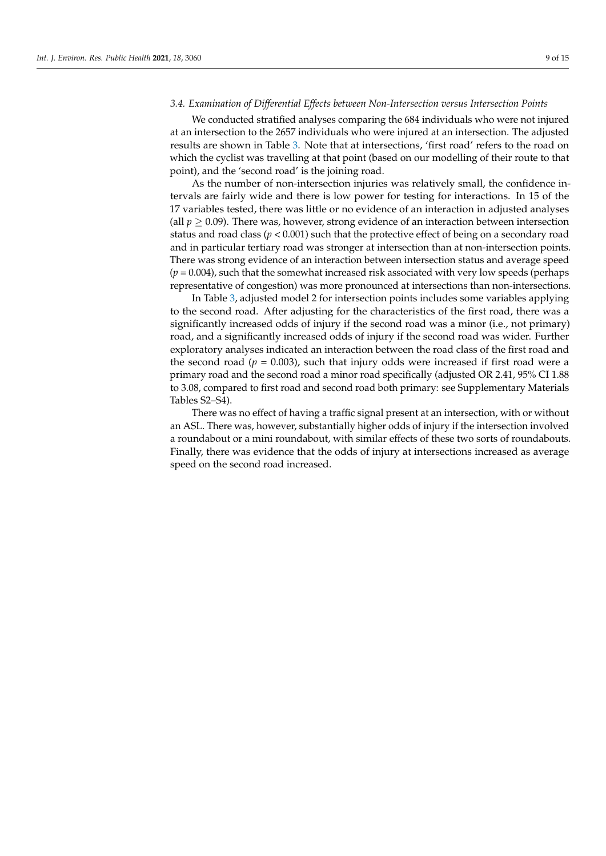# *3.4. Examination of Differential Effects between Non-Intersection versus Intersection Points*

We conducted stratified analyses comparing the 684 individuals who were not injured at an intersection to the 2657 individuals who were injured at an intersection. The adjusted results are shown in Table [3.](#page-9-0) Note that at intersections, 'first road' refers to the road on which the cyclist was travelling at that point (based on our modelling of their route to that point), and the 'second road' is the joining road.

As the number of non-intersection injuries was relatively small, the confidence intervals are fairly wide and there is low power for testing for interactions. In 15 of the 17 variables tested, there was little or no evidence of an interaction in adjusted analyses (all  $p > 0.09$ ). There was, however, strong evidence of an interaction between intersection status and road class ( $p < 0.001$ ) such that the protective effect of being on a secondary road and in particular tertiary road was stronger at intersection than at non-intersection points. There was strong evidence of an interaction between intersection status and average speed  $(p = 0.004)$ , such that the somewhat increased risk associated with very low speeds (perhaps representative of congestion) was more pronounced at intersections than non-intersections.

In Table [3,](#page-9-0) adjusted model 2 for intersection points includes some variables applying to the second road. After adjusting for the characteristics of the first road, there was a significantly increased odds of injury if the second road was a minor (i.e., not primary) road, and a significantly increased odds of injury if the second road was wider. Further exploratory analyses indicated an interaction between the road class of the first road and the second road ( $p = 0.003$ ), such that injury odds were increased if first road were a primary road and the second road a minor road specifically (adjusted OR 2.41, 95% CI 1.88 to 3.08, compared to first road and second road both primary: see Supplementary Materials Tables S2–S4).

There was no effect of having a traffic signal present at an intersection, with or without an ASL. There was, however, substantially higher odds of injury if the intersection involved a roundabout or a mini roundabout, with similar effects of these two sorts of roundabouts. Finally, there was evidence that the odds of injury at intersections increased as average speed on the second road increased.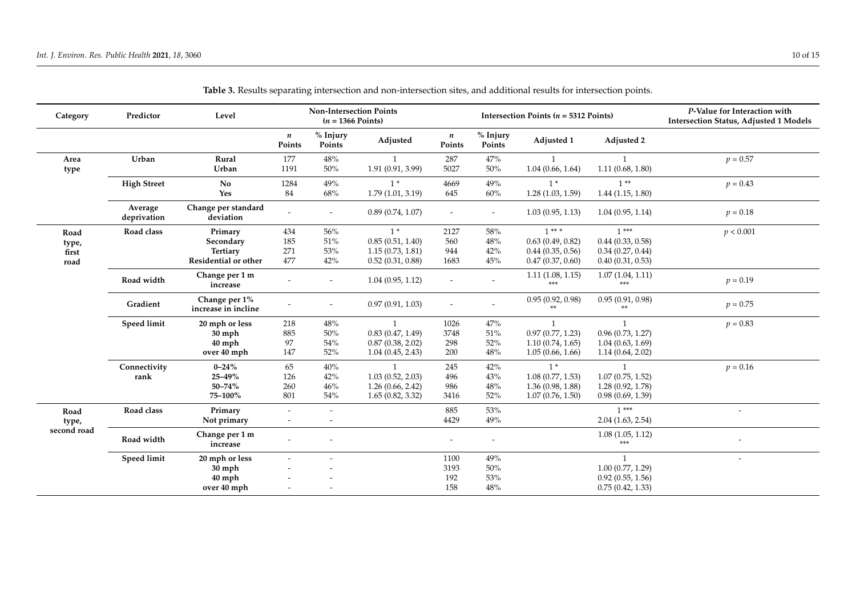<span id="page-9-0"></span>

| Category    | Predictor              | Level                                |                            | <b>Non-Intersection Points</b><br>$(n = 1366$ Points) |                   |                          |                          | Intersection Points ( $n = 5312$ Points) | P-Value for Interaction with<br><b>Intersection Status, Adjusted 1 Models</b> |                          |
|-------------|------------------------|--------------------------------------|----------------------------|-------------------------------------------------------|-------------------|--------------------------|--------------------------|------------------------------------------|-------------------------------------------------------------------------------|--------------------------|
|             |                        |                                      | $\boldsymbol{n}$<br>Points | % Injury<br>Points                                    | Adjusted          | n<br>Points              | % Injury<br>Points       | Adjusted 1                               | Adjusted 2                                                                    |                          |
| Area        | Urban                  | Rural                                | 177                        | 48%                                                   |                   | 287                      | $47\%$                   | $\mathbf{1}$                             |                                                                               | $p = 0.57$               |
| type        |                        | Urban                                | 1191                       | $50\%$                                                | 1.91 (0.91, 3.99) | 5027                     | 50%                      | 1.04(0.66, 1.64)                         | 1.11(0.68, 1.80)                                                              |                          |
|             | <b>High Street</b>     | No                                   | 1284                       | 49%                                                   | $1*$              | 4669                     | 49%                      | $1*$                                     | $1**$                                                                         | $p = 0.43$               |
|             |                        | Yes                                  | 84                         | 68%                                                   | 1.79(1.01, 3.19)  | 645                      | 60%                      | 1.28(1.03, 1.59)                         | 1.44(1.15, 1.80)                                                              |                          |
|             | Average<br>deprivation | Change per standard<br>deviation     |                            | $\overline{\phantom{a}}$                              | 0.89(0.74, 1.07)  | $\overline{\phantom{a}}$ | $\overline{\phantom{a}}$ | 1.03(0.95, 1.13)                         | 1.04(0.95, 1.14)                                                              | $p = 0.18$               |
| Road        | Road class             | Primary                              | 434                        | 56%                                                   | $1*$              | 2127                     | 58%                      | $1***$                                   | $1***$                                                                        | p < 0.001                |
| type,       |                        | Secondary                            | 185                        | $51\%$                                                | 0.85(0.51, 1.40)  | 560                      | $48\%$                   | 0.63(0.49, 0.82)                         | $0.44$ $(0.33, 0.58)$                                                         |                          |
| first       |                        | Tertiary                             | 271                        | 53%                                                   | 1.15(0.73, 1.81)  | 944                      | 42%                      | 0.44(0.35, 0.56)                         | 0.34(0.27, 0.44)                                                              |                          |
| road        |                        | Residential or other                 | 477                        | 42%                                                   | 0.52(0.31, 0.88)  | 1683                     | 45%                      | 0.47(0.37, 0.60)                         | 0.40(0.31, 0.53)                                                              |                          |
|             | Road width             | Change per 1 m<br>increase           | $\overline{a}$             | $\overline{\phantom{a}}$                              | 1.04(0.95, 1.12)  |                          |                          | 1.11(1.08, 1.15)<br>***                  | 1.07(1.04, 1.11)<br>***                                                       | $p = 0.19$               |
|             | Gradient               | Change per 1%<br>increase in incline | $\overline{\phantom{a}}$   |                                                       | 0.97(0.91, 1.03)  | $\overline{\phantom{a}}$ | $\overline{\phantom{a}}$ | 0.95(0.92, 0.98)<br>**                   | 0.95(0.91, 0.98)<br>**                                                        | $p = 0.75$               |
|             | <b>Speed limit</b>     | 20 mph or less                       | 218                        | 48%                                                   | 1                 | 1026                     | 47%                      | 1                                        | $\mathbf{1}$                                                                  | $p = 0.83$               |
|             |                        | $30$ mph                             | 885                        | 50%                                                   | 0.83(0.47, 1.49)  | 3748                     | 51%                      | 0.97(0.77, 1.23)                         | 0.96(0.73, 1.27)                                                              |                          |
|             |                        | $40$ mph                             | 97                         | 54%                                                   | 0.87(0.38, 2.02)  | 298                      | $52\%$                   | 1.10(0.74, 1.65)                         | 1.04(0.63, 1.69)                                                              |                          |
|             |                        | over 40 mph                          | 147                        | 52%                                                   | 1.04(0.45, 2.43)  | 200                      | 48%                      | 1.05(0.66, 1.66)                         | 1.14(0.64, 2.02)                                                              |                          |
|             | Connectivity           | $0 - 24%$                            | 65                         | 40%                                                   | $\mathbf{1}$      | 245                      | 42%                      | $1*$                                     | $\mathbf{1}$                                                                  | $p = 0.16$               |
|             | rank                   | 25-49%                               | 126                        | 42%                                                   | 1.03(0.52, 2.03)  | 496                      | $43\%$                   | 1.08(0.77, 1.53)                         | 1.07(0.75, 1.52)                                                              |                          |
|             |                        | 50-74%                               | 260                        | 46%                                                   | 1.26(0.66, 2.42)  | 986                      | $48\%$                   | 1.36(0.98, 1.88)                         | 1.28(0.92, 1.78)                                                              |                          |
|             |                        | 75-100%                              | 801                        | 54%                                                   | 1.65(0.82, 3.32)  | 3416                     | 52%                      | 1.07(0.76, 1.50)                         | 0.98(0.69, 1.39)                                                              |                          |
| Road        | Road class             | Primary                              | $\overline{\phantom{a}}$   | $\sim$                                                |                   | 885                      | 53%                      |                                          | $1***$                                                                        | $\sim$                   |
| type,       |                        | Not primary                          | $\overline{\phantom{a}}$   |                                                       |                   | 4429                     | 49%                      |                                          | 2.04(1.63, 2.54)                                                              |                          |
| second road | Road width             | Change per 1 m<br>increase           |                            |                                                       |                   |                          |                          |                                          | 1.08(1.05, 1.12)<br>***                                                       |                          |
|             | <b>Speed limit</b>     | 20 mph or less                       |                            |                                                       |                   | 1100                     | 49%                      |                                          | $\mathbf{1}$                                                                  | $\overline{\phantom{a}}$ |
|             |                        | $30$ mph                             |                            |                                                       |                   | 3193                     | $50\%$                   |                                          | 1.00(0.77, 1.29)                                                              |                          |
|             |                        | $40$ mph                             |                            |                                                       |                   | 192                      | 53%                      |                                          | 0.92(0.55, 1.56)                                                              |                          |
|             |                        | over 40 mph                          |                            |                                                       |                   | 158                      | 48%                      |                                          | 0.75(0.42, 1.33)                                                              |                          |

| Table 3. Results separating intersection and non-intersection sites, and additional results for intersection points. |  |
|----------------------------------------------------------------------------------------------------------------------|--|
|----------------------------------------------------------------------------------------------------------------------|--|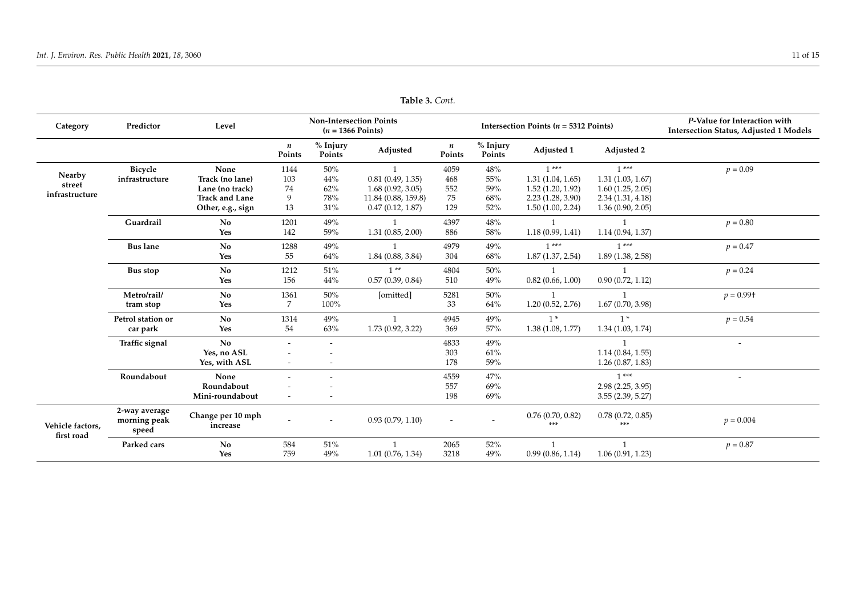| Category                       | Predictor                              | Level                         |                            | <b>Non-Intersection Points</b><br>$(n = 1366$ Points) |                       |                            |                          | Intersection Points ( $n = 5312$ Points) | P-Value for Interaction with<br><b>Intersection Status, Adjusted 1 Models</b> |                          |
|--------------------------------|----------------------------------------|-------------------------------|----------------------------|-------------------------------------------------------|-----------------------|----------------------------|--------------------------|------------------------------------------|-------------------------------------------------------------------------------|--------------------------|
|                                |                                        |                               | $\boldsymbol{n}$<br>Points | % Injury<br>Points                                    | Adjusted              | $\boldsymbol{n}$<br>Points | % Injury<br>Points       | Adjusted 1                               | Adjusted 2                                                                    |                          |
| Nearby                         | <b>Bicycle</b>                         | None                          | 1144                       | 50%                                                   | $\overline{1}$        | 4059                       | 48%                      | $1***$                                   | $1***$                                                                        | $p = 0.09$               |
| street                         | infrastructure                         | Track (no lane)               | 103                        | 44%                                                   | 0.81(0.49, 1.35)      | 468                        | 55%                      | 1.31(1.04, 1.65)                         | 1.31(1.03, 1.67)                                                              |                          |
| infrastructure                 |                                        | Lane (no track)               | 74                         | 62%                                                   | 1.68(0.92, 3.05)      | 552                        | 59%                      | 1.52(1.20, 1.92)                         | 1.60(1.25, 2.05)                                                              |                          |
|                                |                                        | <b>Track and Lane</b>         | 9                          | 78%                                                   | 11.84 (0.88, 159.8)   | 75                         | 68%                      | 2.23(1.28, 3.90)                         | 2.34(1.31, 4.18)                                                              |                          |
|                                |                                        | Other, e.g., sign             | 13                         | 31%                                                   | 0.47(0.12, 1.87)      | 129                        | 52%                      | 1.50(1.00, 2.24)                         | 1.36(0.90, 2.05)                                                              |                          |
|                                | Guardrail                              | No                            | 1201                       | 49%                                                   | 1                     | 4397                       | 48%                      |                                          | -1                                                                            | $p = 0.80$               |
|                                |                                        | Yes                           | 142                        | 59%                                                   | 1.31(0.85, 2.00)      | 886                        | 58%                      | 1.18(0.99, 1.41)                         | 1.14(0.94, 1.37)                                                              |                          |
|                                | <b>Bus lane</b>                        | No                            | 1288                       | 49%                                                   |                       | 4979                       | 49%                      | $1***$                                   | $1***$                                                                        | $p = 0.47$               |
|                                |                                        | Yes                           | 55                         | 64%                                                   | 1.84(0.88, 3.84)      | 304                        | 68%                      | 1.87(1.37, 2.54)                         | 1.89(1.38, 2.58)                                                              |                          |
|                                | Bus stop                               | <b>No</b>                     | 1212                       | 51%                                                   | $1**$                 | 4804                       | 50%                      |                                          |                                                                               | $p = 0.24$               |
|                                |                                        | Yes                           | 156                        | 44%                                                   | 0.57(0.39, 0.84)      | 510                        | 49%                      | 0.82(0.66, 1.00)                         | 0.90(0.72, 1.12)                                                              |                          |
|                                | Metro/rail/                            | <b>No</b>                     | 1361                       | 50%                                                   | [omitted]             | 5281                       | 50%                      |                                          |                                                                               | $p = 0.99$ <sup>+</sup>  |
|                                | tram stop                              | Yes                           | 7                          | 100%                                                  |                       | 33                         | 64%                      | 1.20(0.52, 2.76)                         | 1.67(0.70, 3.98)                                                              |                          |
|                                | Petrol station or                      | <b>No</b>                     | 1314                       | 49%                                                   | $\mathbf{1}$          | 4945                       | 49%                      | $1*$                                     | $1*$                                                                          | $p = 0.54$               |
|                                | car park                               | Yes                           | 54                         | 63%                                                   | 1.73(0.92, 3.22)      | 369                        | 57%                      | 1.38(1.08, 1.77)                         | 1.34(1.03, 1.74)                                                              |                          |
|                                | Traffic signal                         | No                            |                            | $\tilde{\phantom{a}}$                                 |                       | 4833                       | 49%                      |                                          |                                                                               | $\overline{\phantom{a}}$ |
|                                |                                        | Yes, no ASL                   |                            |                                                       |                       | 303                        | 61%                      |                                          | 1.14(0.84, 1.55)                                                              |                          |
|                                |                                        | Yes, with ASL                 | $\overline{\phantom{a}}$   |                                                       |                       | 178                        | 59%                      |                                          | 1.26(0.87, 1.83)                                                              |                          |
|                                | Roundabout                             | None                          |                            |                                                       |                       | 4559                       | 47%                      |                                          | $1***$                                                                        | $\overline{\phantom{a}}$ |
|                                |                                        | Roundabout                    |                            |                                                       |                       | 557                        | 69%                      |                                          | 2.98(2.25, 3.95)                                                              |                          |
|                                |                                        | Mini-roundabout               |                            |                                                       |                       | 198                        | 69%                      |                                          | 3.55(2.39, 5.27)                                                              |                          |
| Vehicle factors.<br>first road | 2-way average<br>morning peak<br>speed | Change per 10 mph<br>increase |                            | $\overline{\phantom{a}}$                              | 0.93(0.79, 1.10)      | $\sim$                     | $\overline{\phantom{a}}$ | 0.76(0.70, 0.82)<br>***                  | 0.78(0.72, 0.85)<br>***                                                       | $p = 0.004$              |
|                                | Parked cars                            | <b>No</b>                     | 584                        | 51%                                                   | $\mathbf{1}$          | 2065                       | 52%                      | $\overline{1}$                           |                                                                               | $p = 0.87$               |
|                                |                                        | Yes                           | 759                        | 49%                                                   | $1.01$ $(0.76, 1.34)$ | 3218                       | 49%                      | 0.99(0.86, 1.14)                         | 1.06(0.91, 1.23)                                                              |                          |

**Table 3.** *Cont.*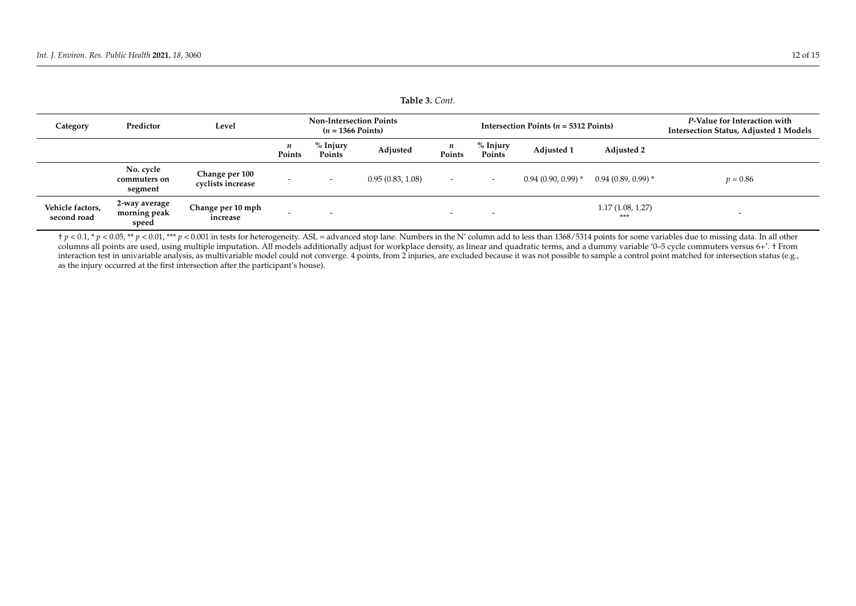| Table <i>J.</i> Com.            |                                        |                                     |                                                       |                          |                  |                            |                          |                                                 |                                                                               |                          |
|---------------------------------|----------------------------------------|-------------------------------------|-------------------------------------------------------|--------------------------|------------------|----------------------------|--------------------------|-------------------------------------------------|-------------------------------------------------------------------------------|--------------------------|
| Category                        | Predictor                              | Level                               | <b>Non-Intersection Points</b><br>$(n = 1366$ Points) |                          |                  |                            |                          | Intersection Points $(n = 5312 \text{ Points})$ | P-Value for Interaction with<br><b>Intersection Status, Adjusted 1 Models</b> |                          |
|                                 |                                        |                                     | n<br>Points                                           | % Injury<br>Points       | Adjusted         | $\boldsymbol{n}$<br>Points | % Injury<br>Points       | <b>Adjusted 1</b>                               | <b>Adjusted 2</b>                                                             |                          |
|                                 | No. cycle<br>commuters on<br>segment   | Change per 100<br>cyclists increase |                                                       | $\overline{\phantom{0}}$ | 0.95(0.83, 1.08) | $\overline{\phantom{a}}$   | $\overline{\phantom{0}}$ | $0.94(0.90, 0.99)$ *                            | $0.94(0.89, 0.99)$ *                                                          | $p = 0.86$               |
| Vehicle factors,<br>second road | 2-way average<br>morning peak<br>speed | Change per 10 mph<br>increase       | <b>.</b>                                              | $\overline{\phantom{a}}$ |                  | $\overline{\phantom{0}}$   | $\overline{\phantom{0}}$ |                                                 | 1.17(1.08, 1.27)<br>***                                                       | $\overline{\phantom{0}}$ |

 $t$   $p$  < 0.05, \*\*  $p$  < 0.01, \*\*\*  $p$  < 0.001 in tests for heterogeneity. ASL = advanced stop lane. Numbers in the N' column add to less than 1368/5314 points for some variables due to missing data. In all other columns all points are used, using multiple imputation. All models additionally adjust for workplace density, as linear and quadratic terms, and a dummy variable '0–5 cycle commuters versus 6+'. † From interaction test in univariable analysis, as multivariable model could not converge. 4 points, from 2 injuries, are excluded because it was not possible to sample a control point matched for intersection status (e.g., as the injury occurred at the first intersection after the participant's house).

**Table 3.** *Cont.*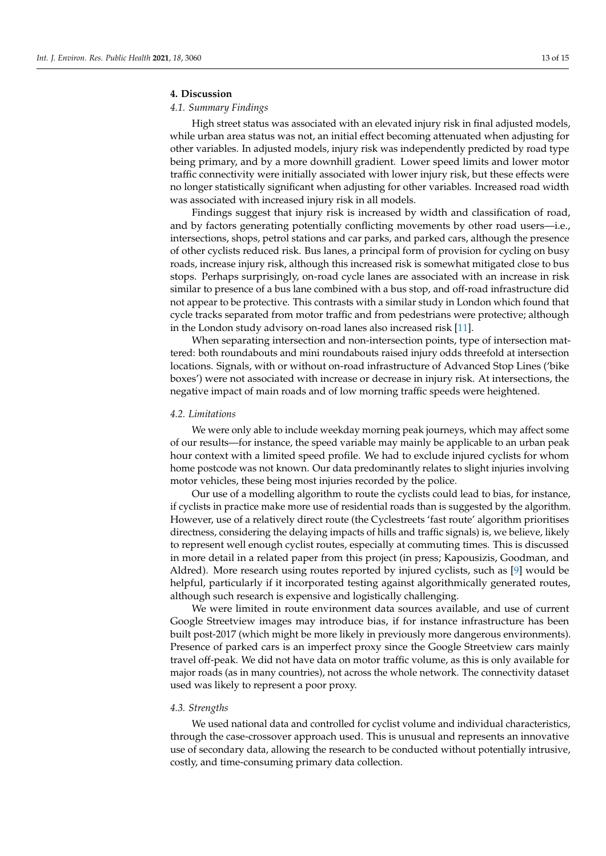#### **4. Discussion**

# *4.1. Summary Findings*

High street status was associated with an elevated injury risk in final adjusted models, while urban area status was not, an initial effect becoming attenuated when adjusting for other variables. In adjusted models, injury risk was independently predicted by road type being primary, and by a more downhill gradient. Lower speed limits and lower motor traffic connectivity were initially associated with lower injury risk, but these effects were no longer statistically significant when adjusting for other variables. Increased road width was associated with increased injury risk in all models.

Findings suggest that injury risk is increased by width and classification of road, and by factors generating potentially conflicting movements by other road users—i.e., intersections, shops, petrol stations and car parks, and parked cars, although the presence of other cyclists reduced risk. Bus lanes, a principal form of provision for cycling on busy roads, increase injury risk, although this increased risk is somewhat mitigated close to bus stops. Perhaps surprisingly, on-road cycle lanes are associated with an increase in risk similar to presence of a bus lane combined with a bus stop, and off-road infrastructure did not appear to be protective. This contrasts with a similar study in London which found that cycle tracks separated from motor traffic and from pedestrians were protective; although in the London study advisory on-road lanes also increased risk [\[11\]](#page-14-10).

When separating intersection and non-intersection points, type of intersection mattered: both roundabouts and mini roundabouts raised injury odds threefold at intersection locations. Signals, with or without on-road infrastructure of Advanced Stop Lines ('bike boxes') were not associated with increase or decrease in injury risk. At intersections, the negative impact of main roads and of low morning traffic speeds were heightened.

#### *4.2. Limitations*

We were only able to include weekday morning peak journeys, which may affect some of our results—for instance, the speed variable may mainly be applicable to an urban peak hour context with a limited speed profile. We had to exclude injured cyclists for whom home postcode was not known. Our data predominantly relates to slight injuries involving motor vehicles, these being most injuries recorded by the police.

Our use of a modelling algorithm to route the cyclists could lead to bias, for instance, if cyclists in practice make more use of residential roads than is suggested by the algorithm. However, use of a relatively direct route (the Cyclestreets 'fast route' algorithm prioritises directness, considering the delaying impacts of hills and traffic signals) is, we believe, likely to represent well enough cyclist routes, especially at commuting times. This is discussed in more detail in a related paper from this project (in press; Kapousizis, Goodman, and Aldred). More research using routes reported by injured cyclists, such as [\[9\]](#page-14-7) would be helpful, particularly if it incorporated testing against algorithmically generated routes, although such research is expensive and logistically challenging.

We were limited in route environment data sources available, and use of current Google Streetview images may introduce bias, if for instance infrastructure has been built post-2017 (which might be more likely in previously more dangerous environments). Presence of parked cars is an imperfect proxy since the Google Streetview cars mainly travel off-peak. We did not have data on motor traffic volume, as this is only available for major roads (as in many countries), not across the whole network. The connectivity dataset used was likely to represent a poor proxy.

#### *4.3. Strengths*

We used national data and controlled for cyclist volume and individual characteristics, through the case-crossover approach used. This is unusual and represents an innovative use of secondary data, allowing the research to be conducted without potentially intrusive, costly, and time-consuming primary data collection.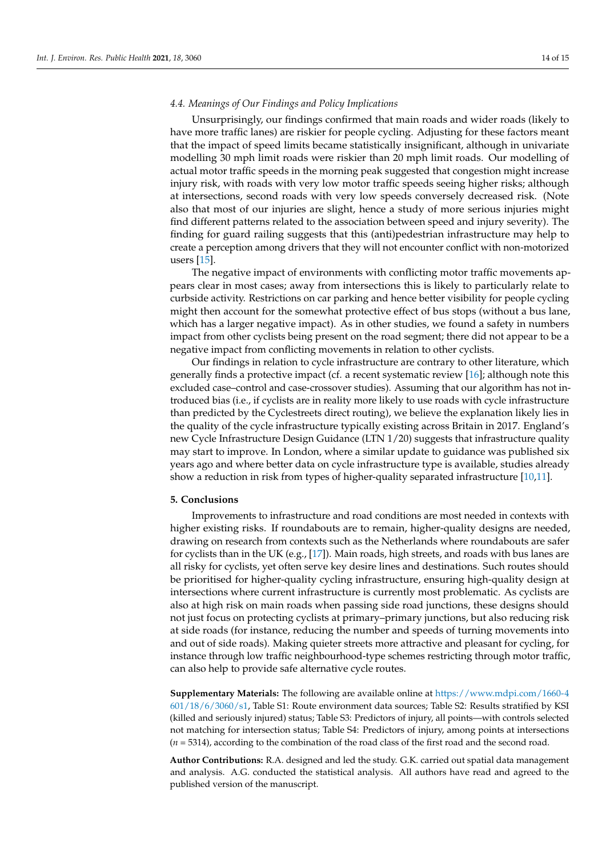### *4.4. Meanings of Our Findings and Policy Implications*

Unsurprisingly, our findings confirmed that main roads and wider roads (likely to have more traffic lanes) are riskier for people cycling. Adjusting for these factors meant that the impact of speed limits became statistically insignificant, although in univariate modelling 30 mph limit roads were riskier than 20 mph limit roads. Our modelling of actual motor traffic speeds in the morning peak suggested that congestion might increase injury risk, with roads with very low motor traffic speeds seeing higher risks; although at intersections, second roads with very low speeds conversely decreased risk. (Note also that most of our injuries are slight, hence a study of more serious injuries might find different patterns related to the association between speed and injury severity). The finding for guard railing suggests that this (anti)pedestrian infrastructure may help to create a perception among drivers that they will not encounter conflict with non-motorized users [\[15\]](#page-14-14).

The negative impact of environments with conflicting motor traffic movements appears clear in most cases; away from intersections this is likely to particularly relate to curbside activity. Restrictions on car parking and hence better visibility for people cycling might then account for the somewhat protective effect of bus stops (without a bus lane, which has a larger negative impact). As in other studies, we found a safety in numbers impact from other cyclists being present on the road segment; there did not appear to be a negative impact from conflicting movements in relation to other cyclists.

Our findings in relation to cycle infrastructure are contrary to other literature, which generally finds a protective impact (cf. a recent systematic review [\[16\]](#page-14-15); although note this excluded case–control and case-crossover studies). Assuming that our algorithm has not introduced bias (i.e., if cyclists are in reality more likely to use roads with cycle infrastructure than predicted by the Cyclestreets direct routing), we believe the explanation likely lies in the quality of the cycle infrastructure typically existing across Britain in 2017. England's new Cycle Infrastructure Design Guidance (LTN 1/20) suggests that infrastructure quality may start to improve. In London, where a similar update to guidance was published six years ago and where better data on cycle infrastructure type is available, studies already show a reduction in risk from types of higher-quality separated infrastructure [\[10,](#page-14-9)[11\]](#page-14-10).

#### **5. Conclusions**

Improvements to infrastructure and road conditions are most needed in contexts with higher existing risks. If roundabouts are to remain, higher-quality designs are needed, drawing on research from contexts such as the Netherlands where roundabouts are safer for cyclists than in the UK (e.g., [\[17\]](#page-14-16)). Main roads, high streets, and roads with bus lanes are all risky for cyclists, yet often serve key desire lines and destinations. Such routes should be prioritised for higher-quality cycling infrastructure, ensuring high-quality design at intersections where current infrastructure is currently most problematic. As cyclists are also at high risk on main roads when passing side road junctions, these designs should not just focus on protecting cyclists at primary–primary junctions, but also reducing risk at side roads (for instance, reducing the number and speeds of turning movements into and out of side roads). Making quieter streets more attractive and pleasant for cycling, for instance through low traffic neighbourhood-type schemes restricting through motor traffic, can also help to provide safe alternative cycle routes.

**Supplementary Materials:** The following are available online at [https://www.mdpi.com/1660-4](https://www.mdpi.com/1660-4601/18/6/3060/s1) [601/18/6/3060/s1,](https://www.mdpi.com/1660-4601/18/6/3060/s1) Table S1: Route environment data sources; Table S2: Results stratified by KSI (killed and seriously injured) status; Table S3: Predictors of injury, all points—with controls selected not matching for intersection status; Table S4: Predictors of injury, among points at intersections (*n* = 5314), according to the combination of the road class of the first road and the second road.

**Author Contributions:** R.A. designed and led the study. G.K. carried out spatial data management and analysis. A.G. conducted the statistical analysis. All authors have read and agreed to the published version of the manuscript.